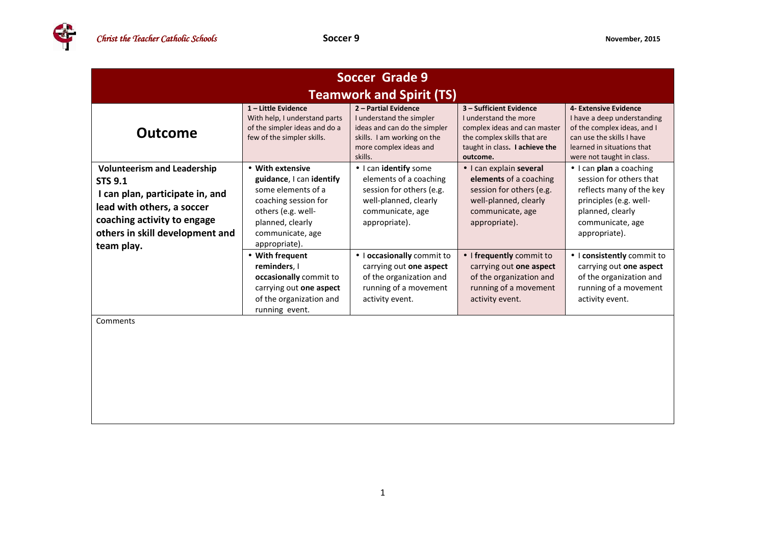Œ

| Soccer Grade 9                                                                                                                                                                                        |                                                                                                                                                                           |                                                                                                                                                      |                                                                                                                                                               |                                                                                                                                                                                  |  |  |
|-------------------------------------------------------------------------------------------------------------------------------------------------------------------------------------------------------|---------------------------------------------------------------------------------------------------------------------------------------------------------------------------|------------------------------------------------------------------------------------------------------------------------------------------------------|---------------------------------------------------------------------------------------------------------------------------------------------------------------|----------------------------------------------------------------------------------------------------------------------------------------------------------------------------------|--|--|
|                                                                                                                                                                                                       | <b>Teamwork and Spirit (TS)</b>                                                                                                                                           |                                                                                                                                                      |                                                                                                                                                               |                                                                                                                                                                                  |  |  |
| <b>Outcome</b>                                                                                                                                                                                        | 1-Little Evidence<br>With help, I understand parts<br>of the simpler ideas and do a<br>few of the simpler skills.                                                         | 2 - Partial Evidence<br>I understand the simpler<br>ideas and can do the simpler<br>skills. I am working on the<br>more complex ideas and<br>skills. | 3 - Sufficient Evidence<br>I understand the more<br>complex ideas and can master<br>the complex skills that are<br>taught in class. I achieve the<br>outcome. | 4- Extensive Evidence<br>I have a deep understanding<br>of the complex ideas, and I<br>can use the skills I have<br>learned in situations that<br>were not taught in class.      |  |  |
| <b>Volunteerism and Leadership</b><br><b>STS 9.1</b><br>I can plan, participate in, and<br>lead with others, a soccer<br>coaching activity to engage<br>others in skill development and<br>team play. | • With extensive<br>guidance, I can identify<br>some elements of a<br>coaching session for<br>others (e.g. well-<br>planned, clearly<br>communicate, age<br>appropriate). | • I can identify some<br>elements of a coaching<br>session for others (e.g.<br>well-planned, clearly<br>communicate, age<br>appropriate).            | • I can explain several<br>elements of a coaching<br>session for others (e.g.<br>well-planned, clearly<br>communicate, age<br>appropriate).                   | $\bullet$ I can <b>plan</b> a coaching<br>session for others that<br>reflects many of the key<br>principles (e.g. well-<br>planned, clearly<br>communicate, age<br>appropriate). |  |  |
|                                                                                                                                                                                                       | • With frequent<br>reminders, I<br>occasionally commit to<br>carrying out one aspect<br>of the organization and<br>running event.                                         | · I occasionally commit to<br>carrying out one aspect<br>of the organization and<br>running of a movement<br>activity event.                         | • I frequently commit to<br>carrying out one aspect<br>of the organization and<br>running of a movement<br>activity event.                                    | • I consistently commit to<br>carrying out one aspect<br>of the organization and<br>running of a movement<br>activity event.                                                     |  |  |
| Comments                                                                                                                                                                                              |                                                                                                                                                                           |                                                                                                                                                      |                                                                                                                                                               |                                                                                                                                                                                  |  |  |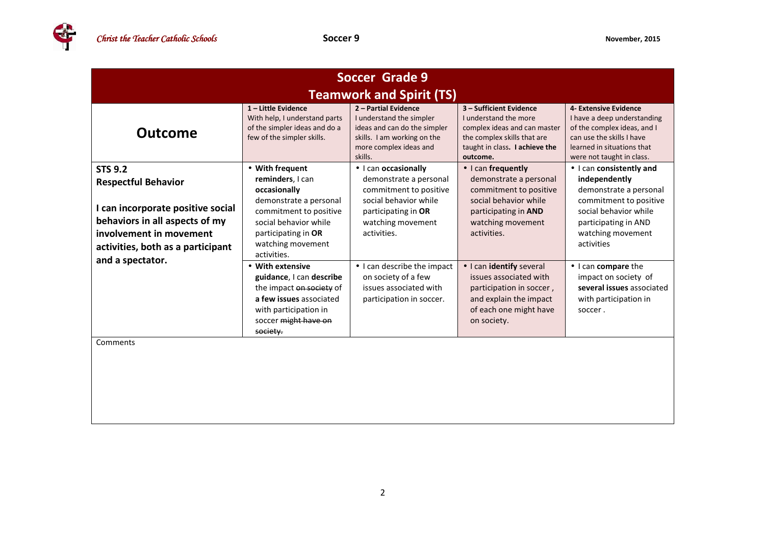| Soccer Grade 9                                                                                                                                                                      |                                                                                                                                                                                             |                                                                                                                                                              |                                                                                                                                                                     |                                                                                                                                                                                   |  |  |
|-------------------------------------------------------------------------------------------------------------------------------------------------------------------------------------|---------------------------------------------------------------------------------------------------------------------------------------------------------------------------------------------|--------------------------------------------------------------------------------------------------------------------------------------------------------------|---------------------------------------------------------------------------------------------------------------------------------------------------------------------|-----------------------------------------------------------------------------------------------------------------------------------------------------------------------------------|--|--|
|                                                                                                                                                                                     | <b>Teamwork and Spirit (TS)</b>                                                                                                                                                             |                                                                                                                                                              |                                                                                                                                                                     |                                                                                                                                                                                   |  |  |
| <b>Outcome</b>                                                                                                                                                                      | 1-Little Evidence<br>With help, I understand parts<br>of the simpler ideas and do a<br>few of the simpler skills.                                                                           | 2 - Partial Evidence<br>I understand the simpler<br>ideas and can do the simpler<br>skills. I am working on the<br>more complex ideas and<br>skills.         | 3 - Sufficient Evidence<br>I understand the more<br>complex ideas and can master<br>the complex skills that are<br>taught in class. I achieve the<br>outcome.       | 4- Extensive Evidence<br>I have a deep understanding<br>of the complex ideas, and I<br>can use the skills I have<br>learned in situations that<br>were not taught in class.       |  |  |
| <b>STS 9.2</b><br><b>Respectful Behavior</b><br>I can incorporate positive social<br>behaviors in all aspects of my<br>involvement in movement<br>activities, both as a participant | • With frequent<br>reminders, I can<br>occasionally<br>demonstrate a personal<br>commitment to positive<br>social behavior while<br>participating in OR<br>watching movement<br>activities. | • I can occasionally<br>demonstrate a personal<br>commitment to positive<br>social behavior while<br>participating in OR<br>watching movement<br>activities. | $\bullet$ I can frequently<br>demonstrate a personal<br>commitment to positive<br>social behavior while<br>participating in AND<br>watching movement<br>activities. | • I can consistently and<br>independently<br>demonstrate a personal<br>commitment to positive<br>social behavior while<br>participating in AND<br>watching movement<br>activities |  |  |
| and a spectator.                                                                                                                                                                    | • With extensive<br>guidance, I can describe<br>the impact on society of<br>a few issues associated<br>with participation in<br>soccer might have on<br>society.                            | • I can describe the impact<br>on society of a few<br>issues associated with<br>participation in soccer.                                                     | • I can identify several<br>issues associated with<br>participation in soccer,<br>and explain the impact<br>of each one might have<br>on society.                   | • I can compare the<br>impact on society of<br>several issues associated<br>with participation in<br>soccer.                                                                      |  |  |
| Comments                                                                                                                                                                            |                                                                                                                                                                                             |                                                                                                                                                              |                                                                                                                                                                     |                                                                                                                                                                                   |  |  |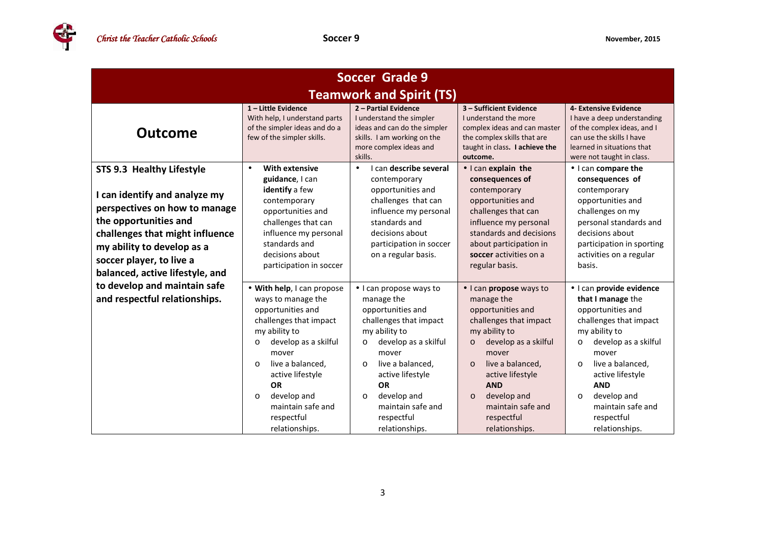4

| <b>Soccer Grade 9</b>                                                                                                                                                                                                                                |                                                                                                                                                                                                                                                                                                              |                                                                                                                                                                                                                                                                                                   |                                                                                                                                                                                                                                                                                                    |                                                                                                                                                                                                                                                                                                            |
|------------------------------------------------------------------------------------------------------------------------------------------------------------------------------------------------------------------------------------------------------|--------------------------------------------------------------------------------------------------------------------------------------------------------------------------------------------------------------------------------------------------------------------------------------------------------------|---------------------------------------------------------------------------------------------------------------------------------------------------------------------------------------------------------------------------------------------------------------------------------------------------|----------------------------------------------------------------------------------------------------------------------------------------------------------------------------------------------------------------------------------------------------------------------------------------------------|------------------------------------------------------------------------------------------------------------------------------------------------------------------------------------------------------------------------------------------------------------------------------------------------------------|
| <b>Teamwork and Spirit (TS)</b>                                                                                                                                                                                                                      |                                                                                                                                                                                                                                                                                                              |                                                                                                                                                                                                                                                                                                   |                                                                                                                                                                                                                                                                                                    |                                                                                                                                                                                                                                                                                                            |
| <b>Outcome</b>                                                                                                                                                                                                                                       | 1-Little Evidence<br>With help, I understand parts<br>of the simpler ideas and do a<br>few of the simpler skills.                                                                                                                                                                                            | 2 - Partial Evidence<br>I understand the simpler<br>ideas and can do the simpler<br>skills. I am working on the<br>more complex ideas and<br>skills.                                                                                                                                              | 3 - Sufficient Evidence<br>I understand the more<br>complex ideas and can master<br>the complex skills that are<br>taught in class. I achieve the<br>outcome.                                                                                                                                      | 4- Extensive Evidence<br>I have a deep understanding<br>of the complex ideas, and I<br>can use the skills I have<br>learned in situations that<br>were not taught in class.                                                                                                                                |
| STS 9.3 Healthy Lifestyle<br>I can identify and analyze my<br>perspectives on how to manage<br>the opportunities and<br>challenges that might influence<br>my ability to develop as a<br>soccer player, to live a<br>balanced, active lifestyle, and | <b>With extensive</b><br>$\bullet$<br>guidance, I can<br>identify a few<br>contemporary<br>opportunities and<br>challenges that can<br>influence my personal<br>standards and<br>decisions about<br>participation in soccer                                                                                  | can describe several<br>$\bullet$<br>contemporary<br>opportunities and<br>challenges that can<br>influence my personal<br>standards and<br>decisions about<br>participation in soccer<br>on a regular basis.                                                                                      | • I can explain the<br>consequences of<br>contemporary<br>opportunities and<br>challenges that can<br>influence my personal<br>standards and decisions<br>about participation in<br>soccer activities on a<br>regular basis.                                                                       | • I can compare the<br>consequences of<br>contemporary<br>opportunities and<br>challenges on my<br>personal standards and<br>decisions about<br>participation in sporting<br>activities on a regular<br>basis.                                                                                             |
| to develop and maintain safe<br>and respectful relationships.                                                                                                                                                                                        | • With help, I can propose<br>ways to manage the<br>opportunities and<br>challenges that impact<br>my ability to<br>develop as a skilful<br>$\circ$<br>mover<br>live a balanced,<br>$\Omega$<br>active lifestyle<br><b>OR</b><br>develop and<br>$\circ$<br>maintain safe and<br>respectful<br>relationships. | • I can propose ways to<br>manage the<br>opportunities and<br>challenges that impact<br>my ability to<br>develop as a skilful<br>$\circ$<br>mover<br>live a balanced,<br>$\Omega$<br>active lifestyle<br><b>OR</b><br>develop and<br>$\circ$<br>maintain safe and<br>respectful<br>relationships. | . I can propose ways to<br>manage the<br>opportunities and<br>challenges that impact<br>my ability to<br>develop as a skilful<br>$\circ$<br>mover<br>live a balanced,<br>$\Omega$<br>active lifestyle<br><b>AND</b><br>develop and<br>$\circ$<br>maintain safe and<br>respectful<br>relationships. | · I can provide evidence<br>that I manage the<br>opportunities and<br>challenges that impact<br>my ability to<br>develop as a skilful<br>$\circ$<br>mover<br>live a balanced,<br>$\Omega$<br>active lifestyle<br><b>AND</b><br>develop and<br>$\circ$<br>maintain safe and<br>respectful<br>relationships. |